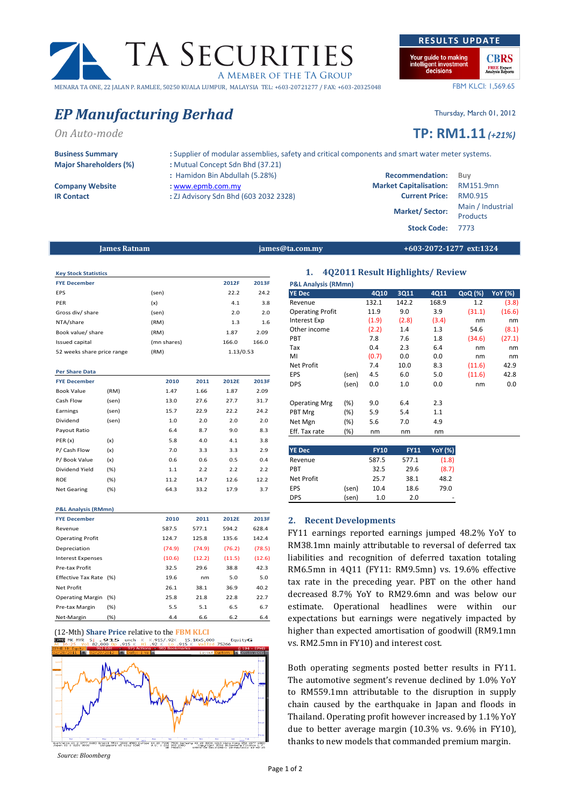# TA SECURITIES A MEMBER OF THE TA GROUP MENARA TA ONE, 22 JALAN P. RAMLEE, 50250 KUALA LUMPUR, MALAYSIA TEL: +603-20721277 / FAX: +603-20325048

# EP Manufacturing Berhad Thursday, March 01, 2012

# On Auto-mode **TP:** RM1.11 (+21%)

Major Shareholders (%) : Mutual Concept Sdn Bhd (37.21)

- 
- 
- : Hamidon Bin Abdullah (5.28%) Company Website : www.epmb.com.my Market Capitalisation: RM151.9mnn Market Capitalisation: RM151.9mn
- IR Contact : ZJ Advisory Sdn Bhd (603 2032 2328)

Business Summary : Supplier of modular assemblies, safety and critical components and smart water meter systems.

|                        | : Hamidon Bin Abdullah (5.28%)        | <b>Recommendation:</b>                  | Buv                                  |
|------------------------|---------------------------------------|-----------------------------------------|--------------------------------------|
| <b>Company Website</b> | : www.epmb.com.my                     | <b>Market Capitalisation:</b> RM151.9mn |                                      |
| <b>IR Contact</b>      | : ZJ Advisory Sdn Bhd (603 2032 2328) | <b>Current Price:</b>                   | RM0.915                              |
|                        |                                       | <b>Market/Sector:</b>                   | Main / Industrial<br><b>Products</b> |
|                        |                                       | Stock Code: 7773                        |                                      |

## James Ratnam james@ta.com.my +603-2072-1277 ext:1324

| <b>Key Stock Statistics</b> |             |           |       |
|-----------------------------|-------------|-----------|-------|
| <b>FYE December</b>         |             | 2012F     | 2013F |
| <b>EPS</b>                  | (sen)       | 22.2      | 24.2  |
| PER                         | (x)         | 4.1       | 3.8   |
| Gross div/ share            | (sen)       | 2.0       | 2.0   |
| NTA/share                   | (RM)        | 1.3       | 1.6   |
| Book value/ share           | (RM)        | 1.87      | 2.09  |
| Issued capital              | (mn shares) | 166.0     | 166.0 |
| 52 weeks share price range  | (RM)        | 1.13/0.53 |       |

## Per Share Data FYE December 2010 2011 2012E 2013F Book Value (RM) 1.47 1.66 1.87 2.09 Cash Flow (sen) 13.0 27.6 27.7 31.7 Earnings (sen) 15.7 22.9 22.2 24.2 Dividend (sen) 1.0 2.0 2.0 2.0 Payout Ratio 6.4 8.7 9.0 8.3 PER (x) (x) 5.8 4.0 4.1 3.8 P/ Cash Flow (x) 7.0 3.3 3.3 2.9 P/ Book Value (x) 0.6 0.6 0.5 0.4 Dividend Yield (%) 1.1 2.2 2.2 2.2 ROE (%) 11.2 14.7 12.6 12.2 Net Gearing (%) 64.3 33.2 17.9 3.7 P&L Analysis (RMmn) FYE December 2010 2011 2012E 2013F Revenue 587.5 577.1 594.2 628.4 Operating Profit 124.7 125.8 135.6 142.4 Depreciation (74.9) (74.9) (76.2) (78.5) Interest Expenses (10.6) (12.2) (11.5) (12.6) Pre-tax Profit 32.5 29.6 38.8 42.3 Effective Tax Rate (%) 19.6 nm 5.0 5.0 Net Profit 26.1 38.1 36.9 40.2 Operating Margin (%) 25.8 21.8 22.8 22.7 Pre-tax Margin (%) 5.5 5.1 6.5 6.7

Net-Margin (%) 4.4 6.6 6.2 6.4



Source: Bloomberg

# 1. 4Q2011 Result Highlights/ Review

| <b>P&amp;L Analysis (RMmn)</b> |        |       |       |       |            |                |
|--------------------------------|--------|-------|-------|-------|------------|----------------|
| <b>YE Dec</b>                  |        | 4Q10  | 3Q11  | 4Q11  | $QoQ (\%)$ | <b>YoY</b> (%) |
| Revenue                        |        | 132.1 | 142.2 | 168.9 | 1.2        | (3.8)          |
| <b>Operating Profit</b>        |        | 11.9  | 9.0   | 3.9   | (31.1)     | (16.6)         |
| <b>Interest Exp</b>            |        | (1.9) | (2.8) | (3.4) | nm         | nm             |
| Other income                   |        | (2.2) | 1.4   | 1.3   | 54.6       | (8.1)          |
| <b>PBT</b>                     |        | 7.8   | 7.6   | 1.8   | (34.6)     | (27.1)         |
| Tax                            |        | 0.4   | 2.3   | 6.4   | nm         | nm             |
| MI                             |        | (0.7) | 0.0   | 0.0   | nm         | nm             |
| <b>Net Profit</b>              |        | 7.4   | 10.0  | 8.3   | (11.6)     | 42.9           |
| <b>EPS</b>                     | (sen)  | 4.5   | 6.0   | 5.0   | (11.6)     | 42.8           |
| <b>DPS</b>                     | (sen)  | 0.0   | 1.0   | 0.0   | nm         | 0.0            |
|                                |        |       |       |       |            |                |
| <b>Operating Mrg</b>           | $(\%)$ | 9.0   | 6.4   | 2.3   |            |                |
| PBT Mrg                        | $(\%)$ | 5.9   | 5.4   | 1.1   |            |                |
| Net Mgn                        | $(\%)$ | 5.6   | 7.0   | 4.9   |            |                |
| Eff. Tax rate                  | $(\%)$ | nm    | nm    | nm    |            |                |

| <b>YE Dec</b>     |       | <b>FY10</b> | <b>FY11</b> | <b>YoY</b> (%) |
|-------------------|-------|-------------|-------------|----------------|
| Revenue           |       | 587.5       | 577.1       | (1.8)          |
| <b>PBT</b>        |       | 32.5        | 29.6        | (8.7)          |
| <b>Net Profit</b> |       | 25.7        | 38.1        | 48.2           |
| <b>EPS</b>        | (sen) | 10.4        | 18.6        | 79.0           |
| <b>DPS</b>        | (sen) | 1.0         | 2.0         |                |

# 2. Recent Developments

FY11 earnings reported earnings jumped 48.2% YoY to RM38.1mn mainly attributable to reversal of deferred tax liabilities and recognition of deferred taxation totaling RM6.5mn in 4Q11 (FY11: RM9.5mn) vs. 19.6% effective tax rate in the preceding year. PBT on the other hand decreased 8.7% YoY to RM29.6mn and was below our estimate. Operational headlines were within our expectations but earnings were negatively impacted by higher than expected amortisation of goodwill (RM9.1mn vs. RM2.5mn in FY10) and interest cost.

Both operating segments posted better results in FY11. The automotive segment's revenue declined by 1.0% YoY to RM559.1mn attributable to the disruption in supply chain caused by the earthquake in Japan and floods in Thailand. Operating profit however increased by 1.1% YoY due to better average margin (10.3% vs. 9.6% in FY10), thanks to new models that commanded premium margin.

RESULTS UPDATE

**FREE Expert**<br>Analysis Reports

FBM KLCI: 1,569.65



<sup>(12-</sup>Mth) Share Price relative to the FBM KLCI<br>
THE ME WAS SALED TO THE RESEARCH TO THE RESEARCH THE RESEARCH TO THE KING THE RESEARCH TO THE RESEARCH TO THE RESEARCH TO THE RESEARCH TO THE RESEARCH TO THE RESEARCH TO THE EquityG **EPNR MK MYR**  $7526$